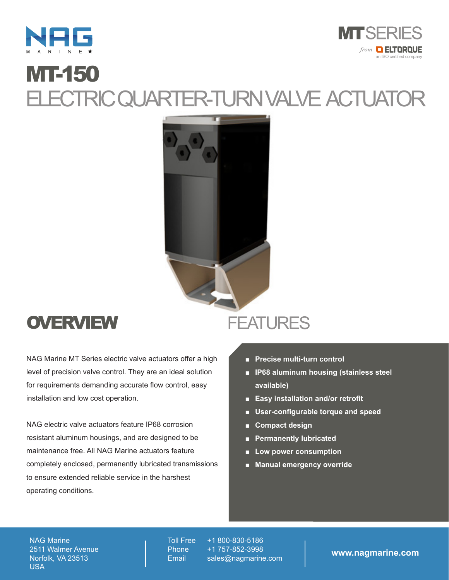



## MT-150 ELECTRIC QUARTER-TURN VALVE ACTUATOR



## **OVERVIEW**

NAG Marine MT Series electric valve actuators offer a high level of precision valve control. They are an ideal solution for requirements demanding accurate flow control, easy installation and low cost operation.

NAG electric valve actuators feature IP68 corrosion resistant aluminum housings, and are designed to be maintenance free. All NAG Marine actuators feature completely enclosed, permanently lubricated transmissions to ensure extended reliable service in the harshest operating conditions.

## **FEATURES**

- **Precise multi-turn control**
- **IP68 aluminum housing (stainless steel available)**
- **Easy installation and/or retrofit**
- **User-configurable torque and speed**
- **Compact design**
- **Permanently lubricated**
- **Low power consumption**
- **Manual emergency override**

NAG Marine 2511 Walmer Avenue Norfolk, VA 23513 USA

Toll Free Phone **Email** 

+1 800-830-5186 +1 757-852-3998 sales@nagmarine.com **www.nagmarine.com**